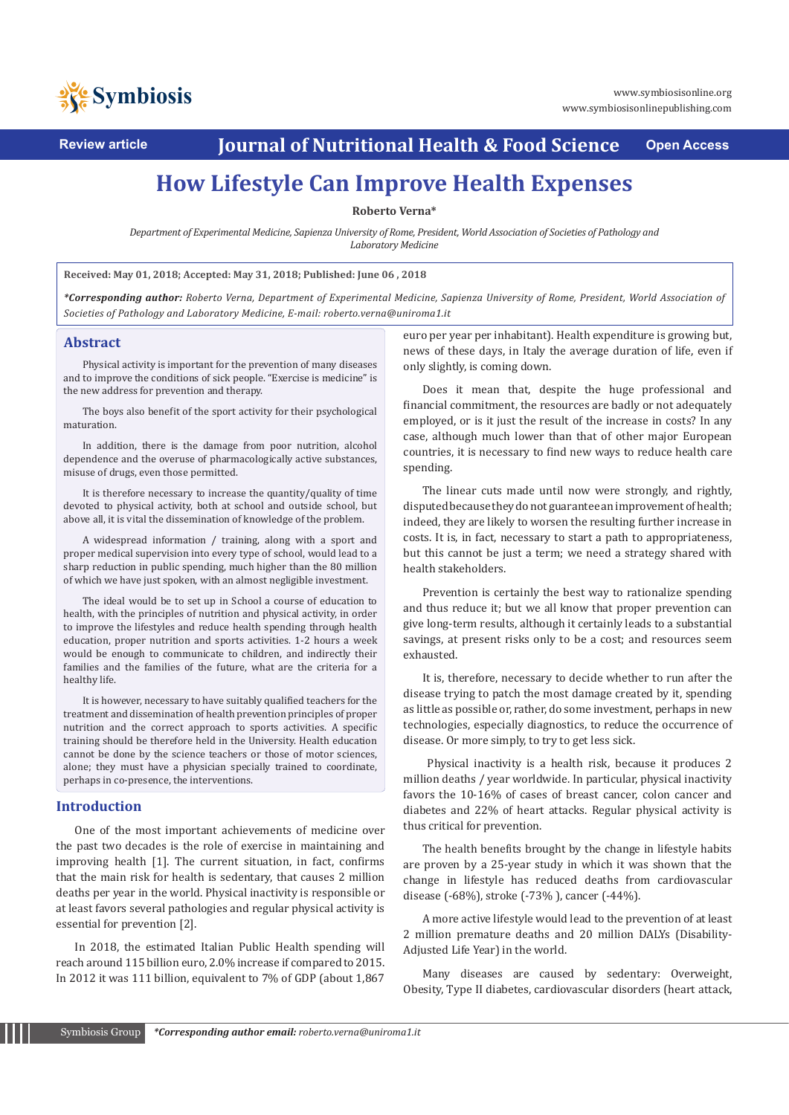

**Review article Journal of Nutritional Health & Food Science Open Access**

# **How Lifestyle Can Improve Health Expenses**

**Roberto Verna\***

*Department of Experimental Medicine, Sapienza University of Rome, President, World Association of Societies of Pathology and Laboratory Medicine*

**Received: May 01, 2018; Accepted: May 31, 2018; Published: June 06 , 2018**

*\*Corresponding author: Roberto Verna, Department of Experimental Medicine, Sapienza University of Rome, President, World Association of Societies of Pathology and Laboratory Medicine, E-mail: roberto.verna@uniroma1.it* 

#### **Abstract**

Physical activity is important for the prevention of many diseases and to improve the conditions of sick people. "Exercise is medicine" is the new address for prevention and therapy.

The boys also benefit of the sport activity for their psychological maturation.

In addition, there is the damage from poor nutrition, alcohol dependence and the overuse of pharmacologically active substances, misuse of drugs, even those permitted.

It is therefore necessary to increase the quantity/quality of time devoted to physical activity, both at school and outside school, but above all, it is vital the dissemination of knowledge of the problem.

A widespread information / training, along with a sport and proper medical supervision into every type of school, would lead to a sharp reduction in public spending, much higher than the 80 million of which we have just spoken, with an almost negligible investment.

The ideal would be to set up in School a course of education to health, with the principles of nutrition and physical activity, in order to improve the lifestyles and reduce health spending through health education, proper nutrition and sports activities. 1-2 hours a week would be enough to communicate to children, and indirectly their families and the families of the future, what are the criteria for a healthy life.

It is however, necessary to have suitably qualified teachers for the treatment and dissemination of health prevention principles of proper nutrition and the correct approach to sports activities. A specific training should be therefore held in the University. Health education cannot be done by the science teachers or those of motor sciences, alone; they must have a physician specially trained to coordinate, perhaps in co-presence, the interventions.

#### **Introduction**

One of the most important achievements of medicine over the past two decades is the role of exercise in maintaining and improving health [1]. The current situation, in fact, confirms that the main risk for health is sedentary, that causes 2 million deaths per year in the world. Physical inactivity is responsible or at least favors several pathologies and regular physical activity is essential for prevention [2].

In 2018, the estimated Italian Public Health spending will reach around 115 billion euro, 2.0% increase if compared to 2015. In 2012 it was 111 billion, equivalent to 7% of GDP (about 1,867 euro per year per inhabitant). Health expenditure is growing but, news of these days, in Italy the average duration of life, even if only slightly, is coming down.

Does it mean that, despite the huge professional and financial commitment, the resources are badly or not adequately employed, or is it just the result of the increase in costs? In any case, although much lower than that of other major European countries, it is necessary to find new ways to reduce health care spending.

The linear cuts made until now were strongly, and rightly, disputed because they do not guarantee an improvement of health; indeed, they are likely to worsen the resulting further increase in costs. It is, in fact, necessary to start a path to appropriateness, but this cannot be just a term; we need a strategy shared with health stakeholders.

Prevention is certainly the best way to rationalize spending and thus reduce it; but we all know that proper prevention can give long-term results, although it certainly leads to a substantial savings, at present risks only to be a cost; and resources seem exhausted.

It is, therefore, necessary to decide whether to run after the disease trying to patch the most damage created by it, spending as little as possible or, rather, do some investment, perhaps in new technologies, especially diagnostics, to reduce the occurrence of disease. Or more simply, to try to get less sick.

 Physical inactivity is a health risk, because it produces 2 million deaths / year worldwide. In particular, physical inactivity favors the 10-16% of cases of breast cancer, colon cancer and diabetes and 22% of heart attacks. Regular physical activity is thus critical for prevention.

The health benefits brought by the change in lifestyle habits are proven by a 25-year study in which it was shown that the change in lifestyle has reduced deaths from cardiovascular disease (-68%), stroke (-73% ), cancer (-44%).

A more active lifestyle would lead to the prevention of at least 2 million premature deaths and 20 million DALYs (Disability-Adjusted Life Year) in the world.

Many diseases are caused by sedentary: Overweight, Obesity, Type II diabetes, cardiovascular disorders (heart attack,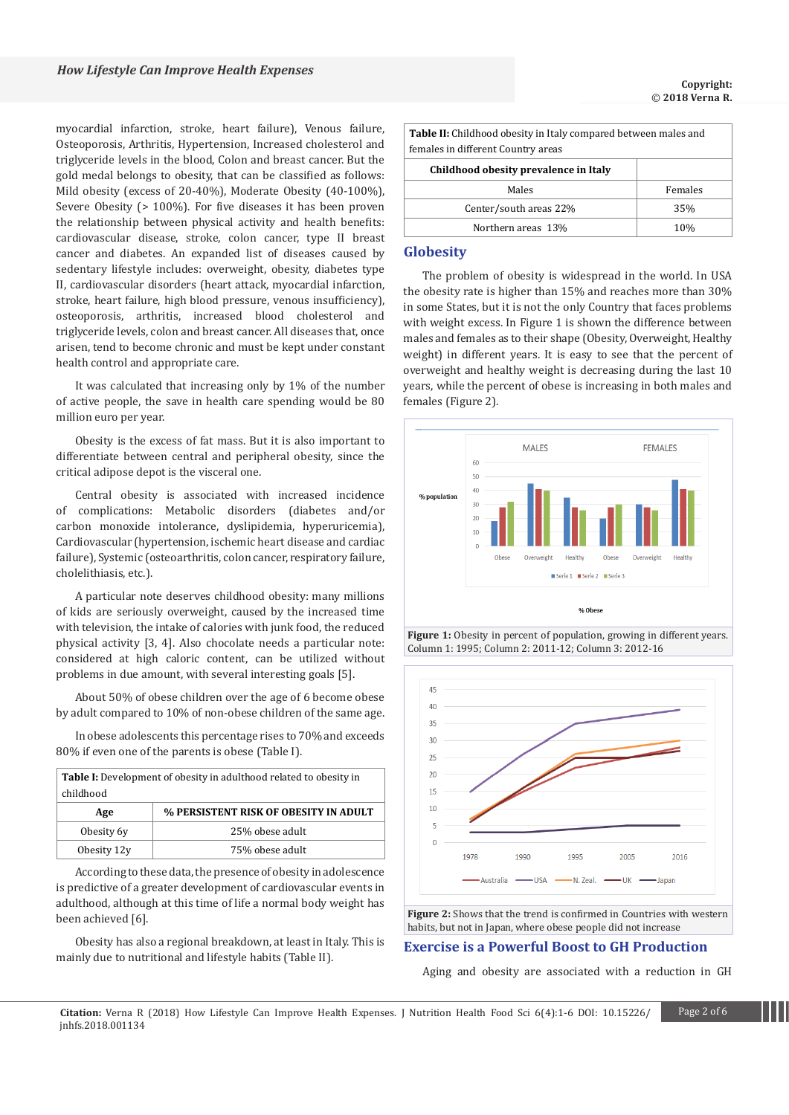myocardial infarction, stroke, heart failure), Venous failure, Osteoporosis, Arthritis, Hypertension, Increased cholesterol and triglyceride levels in the blood, Colon and breast cancer. But the gold medal belongs to obesity, that can be classified as follows: Mild obesity (excess of 20-40%), Moderate Obesity (40-100%), Severe Obesity (> 100%). For five diseases it has been proven the relationship between physical activity and health benefits: cardiovascular disease, stroke, colon cancer, type II breast cancer and diabetes. An expanded list of diseases caused by sedentary lifestyle includes: overweight, obesity, diabetes type II, cardiovascular disorders (heart attack, myocardial infarction, stroke, heart failure, high blood pressure, venous insufficiency), osteoporosis, arthritis, increased blood cholesterol and triglyceride levels, colon and breast cancer. All diseases that, once arisen, tend to become chronic and must be kept under constant health control and appropriate care.

It was calculated that increasing only by 1% of the number of active people, the save in health care spending would be 80 million euro per year.

Obesity is the excess of fat mass. But it is also important to differentiate between central and peripheral obesity, since the critical adipose depot is the visceral one.

Central obesity is associated with increased incidence of complications: Metabolic disorders (diabetes and/or carbon monoxide intolerance, dyslipidemia, hyperuricemia), Cardiovascular (hypertension, ischemic heart disease and cardiac failure), Systemic (osteoarthritis, colon cancer, respiratory failure, cholelithiasis, etc.).

A particular note deserves childhood obesity: many millions of kids are seriously overweight, caused by the increased time with television, the intake of calories with junk food, the reduced physical activity [3, 4]. Also chocolate needs a particular note: considered at high caloric content, can be utilized without problems in due amount, with several interesting goals [5].

About 50% of obese children over the age of 6 become obese by adult compared to 10% of non-obese children of the same age.

In obese adolescents this percentage rises to 70% and exceeds 80% if even one of the parents is obese (Table I).

| <b>Table I:</b> Development of obesity in adulthood related to obesity in<br>childhood |                                       |
|----------------------------------------------------------------------------------------|---------------------------------------|
| Age                                                                                    | % PERSISTENT RISK OF OBESITY IN ADULT |
| Obesity 6y                                                                             | 25% obese adult                       |
| Obesity 12y                                                                            | 75% obese adult                       |

According to these data, the presence of obesity in adolescence is predictive of a greater development of cardiovascular events in adulthood, although at this time of life a normal body weight has been achieved [6].

Obesity has also a regional breakdown, at least in Italy. This is mainly due to nutritional and lifestyle habits (Table II).

| <b>Table II:</b> Childhood obesity in Italy compared between males and |         |  |
|------------------------------------------------------------------------|---------|--|
| females in different Country areas                                     |         |  |
| Childhood obesity prevalence in Italy                                  |         |  |
| Males                                                                  | Females |  |
| Center/south areas 22%<br>35%                                          |         |  |
| Northern areas 13%                                                     | 10%     |  |

#### **Globesity**

The problem of obesity is widespread in the world. In USA the obesity rate is higher than 15% and reaches more than 30% in some States, but it is not the only Country that faces problems with weight excess. In Figure 1 is shown the difference between males and females as to their shape (Obesity, Overweight, Healthy weight) in different years. It is easy to see that the percent of overweight and healthy weight is decreasing during the last 10 years, while the percent of obese is increasing in both males and females (Figure 2).







**Figure 2:** Shows that the trend is confirmed in Countries with western habits, but not in Japan, where obese people did not increase

## **Exercise is a Powerful Boost to GH Production**

Aging and obesity are associated with a reduction in GH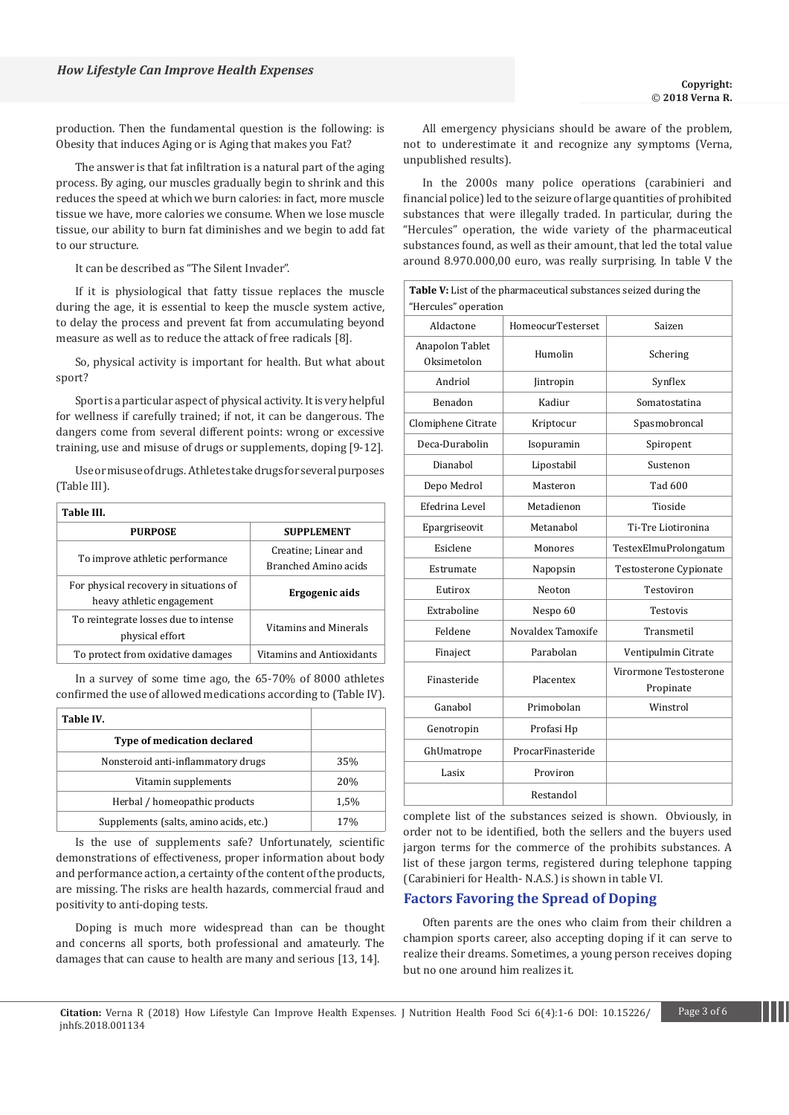production. Then the fundamental question is the following: is Obesity that induces Aging or is Aging that makes you Fat?

The answer is that fat infiltration is a natural part of the aging process. By aging, our muscles gradually begin to shrink and this reduces the speed at which we burn calories: in fact, more muscle tissue we have, more calories we consume. When we lose muscle tissue, our ability to burn fat diminishes and we begin to add fat to our structure.

It can be described as "The Silent Invader".

If it is physiological that fatty tissue replaces the muscle during the age, it is essential to keep the muscle system active, to delay the process and prevent fat from accumulating beyond measure as well as to reduce the attack of free radicals [8].

So, physical activity is important for health. But what about sport?

Sport is a particular aspect of physical activity. It is very helpful for wellness if carefully trained; if not, it can be dangerous. The dangers come from several different points: wrong or excessive training, use and misuse of drugs or supplements, doping [9-12].

Use or misuse of drugs. Athletes take drugs for several purposes (Table III).

| Table III.                                                          |                                              |
|---------------------------------------------------------------------|----------------------------------------------|
| <b>PURPOSE</b>                                                      | <b>SUPPLEMENT</b>                            |
| To improve athletic performance                                     | Creatine: Linear and<br>Branched Amino acids |
| For physical recovery in situations of<br>heavy athletic engagement | Ergogenic aids                               |
| To reintegrate losses due to intense<br>physical effort             | Vitamins and Minerals                        |
| To protect from oxidative damages                                   | Vitamins and Antioxidants                    |

In a survey of some time ago, the 65-70% of 8000 athletes confirmed the use of allowed medications according to (Table IV).

| Table IV.                              |      |
|----------------------------------------|------|
| <b>Type of medication declared</b>     |      |
| Nonsteroid anti-inflammatory drugs     | 35%  |
| Vitamin supplements                    | 20%  |
| Herbal / homeopathic products          | 1,5% |
| Supplements (salts, amino acids, etc.) | 17%  |

Is the use of supplements safe? Unfortunately, scientific demonstrations of effectiveness, proper information about body and performance action, a certainty of the content of the products, are missing. The risks are health hazards, commercial fraud and positivity to anti-doping tests.

Doping is much more widespread than can be thought and concerns all sports, both professional and amateurly. The damages that can cause to health are many and serious [13, 14].

All emergency physicians should be aware of the problem, not to underestimate it and recognize any symptoms (Verna, unpublished results).

In the 2000s many police operations (carabinieri and financial police) led to the seizure of large quantities of prohibited substances that were illegally traded. In particular, during the "Hercules" operation, the wide variety of the pharmaceutical substances found, as well as their amount, that led the total value around 8.970.000,00 euro, was really surprising. In table V the

| "Hercules" operation           | Table V: List of the pharmaceutical substances seized during the |                                     |
|--------------------------------|------------------------------------------------------------------|-------------------------------------|
| Aldactone                      | HomeocurTesterset                                                | Saizen                              |
| Anapolon Tablet<br>Oksimetolon | Humolin                                                          | Schering                            |
| Andriol                        | Jintropin                                                        | Synflex                             |
| Benadon                        | Kadiur                                                           | Somatostatina                       |
| Clomiphene Citrate             | Kriptocur                                                        | Spasmobroncal                       |
| Deca-Durabolin                 | Isopuramin                                                       | Spiropent                           |
| Dianabol                       | Lipostabil                                                       | Sustenon                            |
| Depo Medrol                    | Masteron                                                         | Tad 600                             |
| Efedrina Level                 | Metadienon                                                       | Tioside                             |
| Epargriseovit                  | Metanabol                                                        | Ti-Tre Liotironina                  |
| Esiclene                       | Monores                                                          | TestexElmuProlongatum               |
| Estrumate                      | Napopsin                                                         | Testosterone Cypionate              |
| Eutirox                        | Neoton                                                           | Testoviron                          |
| Extraboline                    | Nespo 60                                                         | Testovis                            |
| Feldene                        | Novaldex Tamoxife                                                | Transmetil                          |
| Finaject                       | Parabolan                                                        | Ventipulmin Citrate                 |
| Finasteride                    | Placentex                                                        | Virormone Testosterone<br>Propinate |
| Ganabol                        | Primobolan                                                       | Winstrol                            |
| Genotropin                     | Profasi Hp                                                       |                                     |
| GhUmatrope                     | ProcarFinasteride                                                |                                     |
| Lasix                          | Proviron                                                         |                                     |
|                                | Restandol                                                        |                                     |

complete list of the substances seized is shown. Obviously, in order not to be identified, both the sellers and the buyers used jargon terms for the commerce of the prohibits substances. A list of these jargon terms, registered during telephone tapping (Carabinieri for Health- N.A.S.) is shown in table VI.

### **Factors Favoring the Spread of Doping**

Often parents are the ones who claim from their children a champion sports career, also accepting doping if it can serve to realize their dreams. Sometimes, a young person receives doping but no one around him realizes it.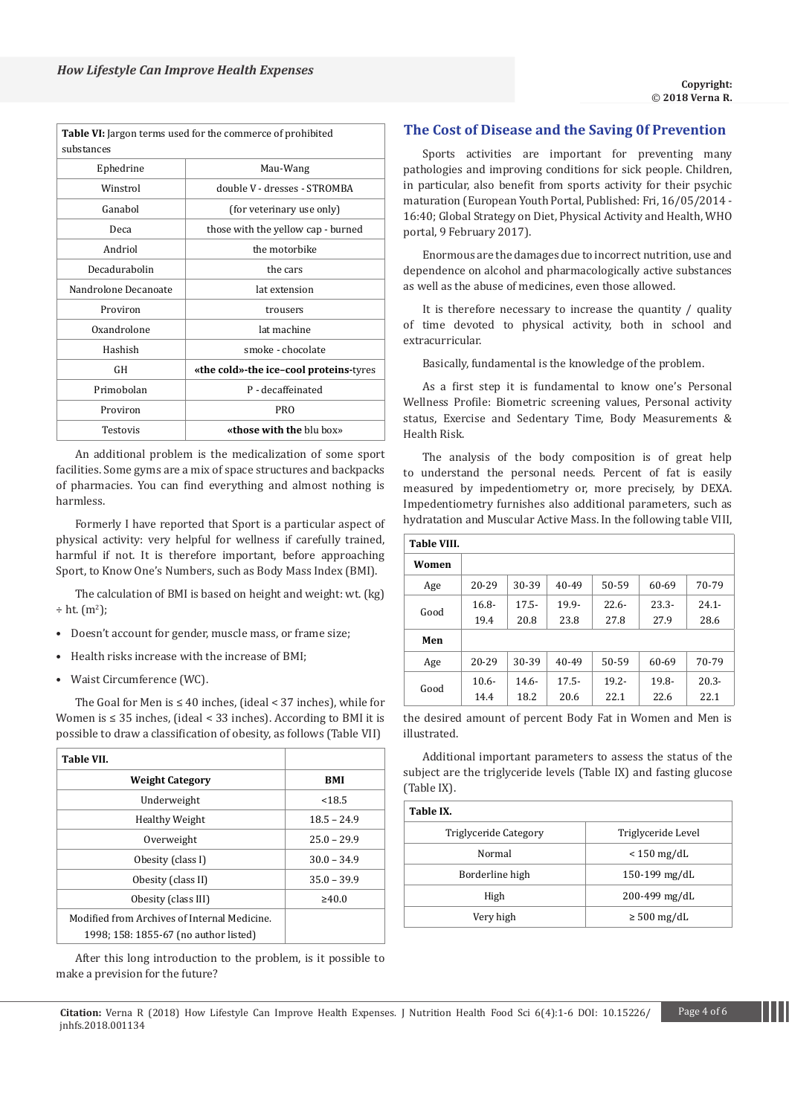|                      | <b>Table VI:</b> Jargon terms used for the commerce of prohibited |
|----------------------|-------------------------------------------------------------------|
| substances           |                                                                   |
| Ephedrine            | Mau-Wang                                                          |
| Winstrol             | double V - dresses - STROMBA                                      |
| Ganabol              | (for veterinary use only)                                         |
| Deca                 | those with the yellow cap - burned                                |
| Andriol              | the motorbike                                                     |
| Decadurabolin        | the cars                                                          |
| Nandrolone Decanoate | lat extension                                                     |
| Proviron             | trousers                                                          |
| Oxandrolone          | lat machine                                                       |
| Hashish              | smoke - chocolate                                                 |
| GH                   | «the cold»-the ice-cool proteins-tyres                            |
| Primobolan           | P - decaffeinated                                                 |
| Proviron             | <b>PRO</b>                                                        |
| Testovis             | «those with the blu box»                                          |

An additional problem is the medicalization of some sport facilities. Some gyms are a mix of space structures and backpacks of pharmacies. You can find everything and almost nothing is harmless.

Formerly I have reported that Sport is a particular aspect of physical activity: very helpful for wellness if carefully trained, harmful if not. It is therefore important, before approaching Sport, to Know One's Numbers, such as Body Mass Index (BMI).

The calculation of BMI is based on height and weight: wt. (kg)  $\div$  ht.  $(m^2)$ ;

- Doesn't account for gender, muscle mass, or frame size;
- Health risks increase with the increase of BMI;
- Waist Circumference (WC).

The Goal for Men is ≤ 40 inches, (ideal < 37 inches), while for Women is ≤ 35 inches, (ideal < 33 inches). According to BMI it is possible to draw a classification of obesity, as follows (Table VII)

| <b>Table VII.</b>                            |               |
|----------------------------------------------|---------------|
| <b>Weight Category</b>                       | <b>BMI</b>    |
| Underweight                                  | < 18.5        |
| Healthy Weight                               | $18.5 - 24.9$ |
| Overweight                                   | $25.0 - 29.9$ |
| Obesity (class I)                            | $30.0 - 34.9$ |
| Obesity (class II)                           | $35.0 - 39.9$ |
| Obesity (class III)                          | $\geq 40.0$   |
| Modified from Archives of Internal Medicine. |               |
| 1998; 158: 1855-67 (no author listed)        |               |

After this long introduction to the problem, is it possible to make a prevision for the future?

# **The Cost of Disease and the Saving 0f Prevention**

Sports activities are important for preventing many pathologies and improving conditions for sick people. Children, in particular, also benefit from sports activity for their psychic maturation (European Youth Portal, Published: Fri, 16/05/2014 - 16:40; Global Strategy on Diet, Physical Activity and Health, WHO portal, 9 February 2017).

Enormous are the damages due to incorrect nutrition, use and dependence on alcohol and pharmacologically active substances as well as the abuse of medicines, even those allowed.

It is therefore necessary to increase the quantity / quality of time devoted to physical activity, both in school and extracurricular.

Basically, fundamental is the knowledge of the problem.

As a first step it is fundamental to know one's Personal Wellness Profile: Biometric screening values, Personal activity status, Exercise and Sedentary Time, Body Measurements & Health Risk.

The analysis of the body composition is of great help to understand the personal needs. Percent of fat is easily measured by impedentiometry or, more precisely, by DEXA. Impedentiometry furnishes also additional parameters, such as hydratation and Muscular Active Mass. In the following table VIII,

| <b>Table VIII.</b> |          |          |          |          |          |          |
|--------------------|----------|----------|----------|----------|----------|----------|
| Women              |          |          |          |          |          |          |
| Age                | 20-29    | 30-39    | 40-49    | 50-59    | 60-69    | 70-79    |
| Good               | $16.8 -$ | $17.5 -$ | 19.9-    | $22.6 -$ | $23.3 -$ | $24.1 -$ |
|                    | 19.4     | 20.8     | 23.8     | 27.8     | 27.9     | 28.6     |
| Men                |          |          |          |          |          |          |
| Age                | 20-29    | 30-39    | 40-49    | 50-59    | 60-69    | 70-79    |
|                    | $10.6 -$ | $14.6 -$ | $17.5 -$ | $19.2 -$ | $19.8 -$ | $20.3 -$ |
| Good               | 14.4     | 18.2     | 20.6     | 22.1     | 22.6     | 22.1     |

the desired amount of percent Body Fat in Women and Men is illustrated.

Additional important parameters to assess the status of the subject are the triglyceride levels (Table IX) and fasting glucose (Table IX).

| Table IX.             |                    |
|-----------------------|--------------------|
| Triglyceride Category | Triglyceride Level |
| Normal                | $< 150$ mg/dL      |
| Borderline high       | $150-199$ mg/dL    |
| High                  | 200-499 mg/dL      |
| Very high             | $\geq 500$ mg/dL   |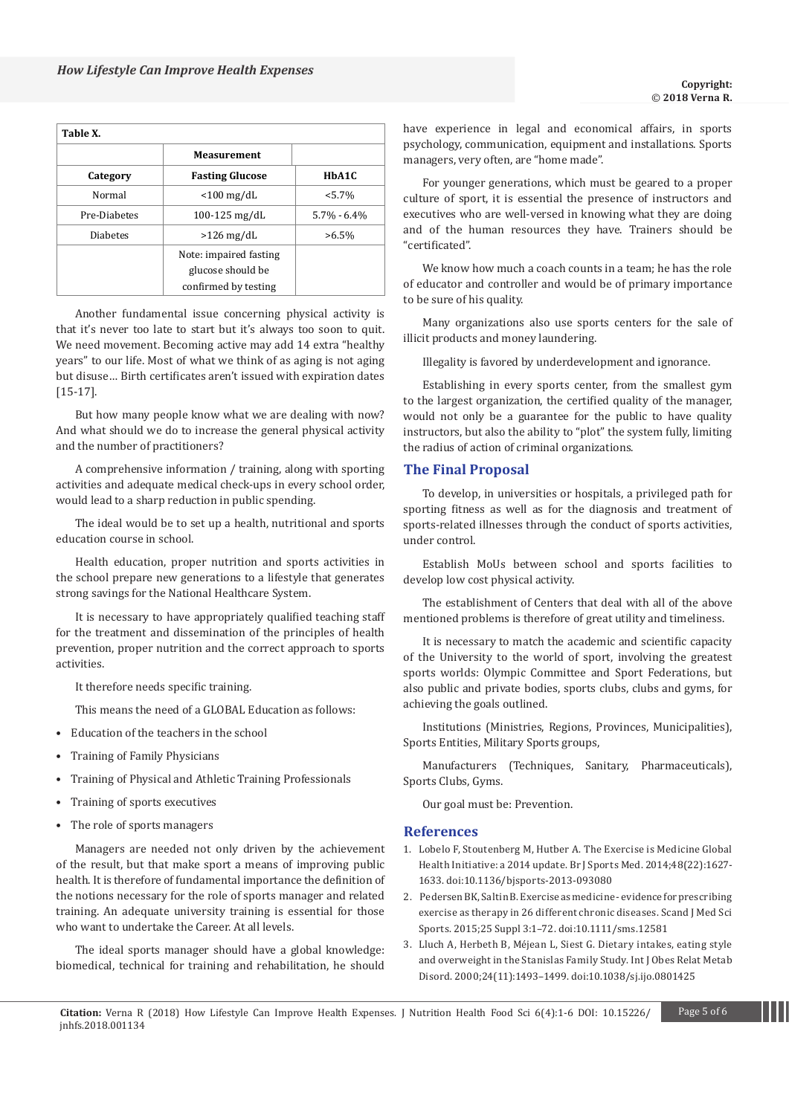| Table X.        |                        |                 |  |
|-----------------|------------------------|-----------------|--|
|                 | <b>Measurement</b>     |                 |  |
| Category        | <b>Fasting Glucose</b> | HbA1C           |  |
| Normal          | $<$ 100 mg/dL          | $< 5.7\%$       |  |
| Pre-Diabetes    | $100 - 125$ mg/dL      | $5.7\% - 6.4\%$ |  |
| <b>Diabetes</b> | $>126$ mg/dL           | $>6.5\%$        |  |
|                 | Note: impaired fasting |                 |  |
|                 | glucose should be      |                 |  |
|                 | confirmed by testing   |                 |  |

Another fundamental issue concerning physical activity is that it's never too late to start but it's always too soon to quit. We need movement. Becoming active may add 14 extra "healthy years" to our life. Most of what we think of as aging is not aging but disuse… Birth certificates aren't issued with expiration dates [15-17].

But how many people know what we are dealing with now? And what should we do to increase the general physical activity and the number of practitioners?

A comprehensive information / training, along with sporting activities and adequate medical check-ups in every school order, would lead to a sharp reduction in public spending.

The ideal would be to set up a health, nutritional and sports education course in school.

Health education, proper nutrition and sports activities in the school prepare new generations to a lifestyle that generates strong savings for the National Healthcare System.

It is necessary to have appropriately qualified teaching staff for the treatment and dissemination of the principles of health prevention, proper nutrition and the correct approach to sports activities.

It therefore needs specific training.

This means the need of a GLOBAL Education as follows:

- Education of the teachers in the school
- Training of Family Physicians
- Training of Physical and Athletic Training Professionals
- Training of sports executives
- The role of sports managers

Managers are needed not only driven by the achievement of the result, but that make sport a means of improving public health. It is therefore of fundamental importance the definition of the notions necessary for the role of sports manager and related training. An adequate university training is essential for those who want to undertake the Career. At all levels.

The ideal sports manager should have a global knowledge: biomedical, technical for training and rehabilitation, he should have experience in legal and economical affairs, in sports psychology, communication, equipment and installations. Sports managers, very often, are "home made".

For younger generations, which must be geared to a proper culture of sport, it is essential the presence of instructors and executives who are well-versed in knowing what they are doing and of the human resources they have. Trainers should be "certificated".

We know how much a coach counts in a team; he has the role of educator and controller and would be of primary importance to be sure of his quality.

Many organizations also use sports centers for the sale of illicit products and money laundering.

Illegality is favored by underdevelopment and ignorance.

Establishing in every sports center, from the smallest gym to the largest organization, the certified quality of the manager, would not only be a guarantee for the public to have quality instructors, but also the ability to "plot" the system fully, limiting the radius of action of criminal organizations.

## **The Final Proposal**

To develop, in universities or hospitals, a privileged path for sporting fitness as well as for the diagnosis and treatment of sports-related illnesses through the conduct of sports activities, under control.

Establish MoUs between school and sports facilities to develop low cost physical activity.

The establishment of Centers that deal with all of the above mentioned problems is therefore of great utility and timeliness.

It is necessary to match the academic and scientific capacity of the University to the world of sport, involving the greatest sports worlds: Olympic Committee and Sport Federations, but also public and private bodies, sports clubs, clubs and gyms, for achieving the goals outlined.

Institutions (Ministries, Regions, Provinces, Municipalities), Sports Entities, Military Sports groups,

Manufacturers (Techniques, Sanitary, Pharmaceuticals), Sports Clubs, Gyms.

Our goal must be: Prevention.

## **References**

- 1. [Lobelo F, Stoutenberg M, Hutber A.](https://www.ncbi.nlm.nih.gov/pubmed/24759911) The Exercise is Medicine Global [Health Initiative: a 2014 update. Br J Sports Med.](https://www.ncbi.nlm.nih.gov/pubmed/24759911) 2014;48(22):1627- 1633. [doi:10.1136/bjsports-2013-093080](https://www.ncbi.nlm.nih.gov/pubmed/24759911)
- 2. [Pedersen BK, Saltin B. Exercise as medicine evidence for prescribing](https://www.ncbi.nlm.nih.gov/pubmed/26606383)  [exercise as therapy in 26 different chronic diseases.](https://www.ncbi.nlm.nih.gov/pubmed/26606383) Scand J Med Sci [Sports. 2015;25 Suppl 3:1–72.](https://www.ncbi.nlm.nih.gov/pubmed/26606383) doi:10.1111/sms.12581
- 3. [Lluch A, Herbeth B, Méjean L, Siest G.](https://www.ncbi.nlm.nih.gov/pubmed/11126347) Dietary intakes, eating style [and overweight in the Stanislas Family Study.](https://www.ncbi.nlm.nih.gov/pubmed/11126347) Int J Obes Relat Metab Disord. [2000;24\(11\):1493–1499. doi:10.1038/sj.ijo.0801425](https://www.ncbi.nlm.nih.gov/pubmed/11126347)